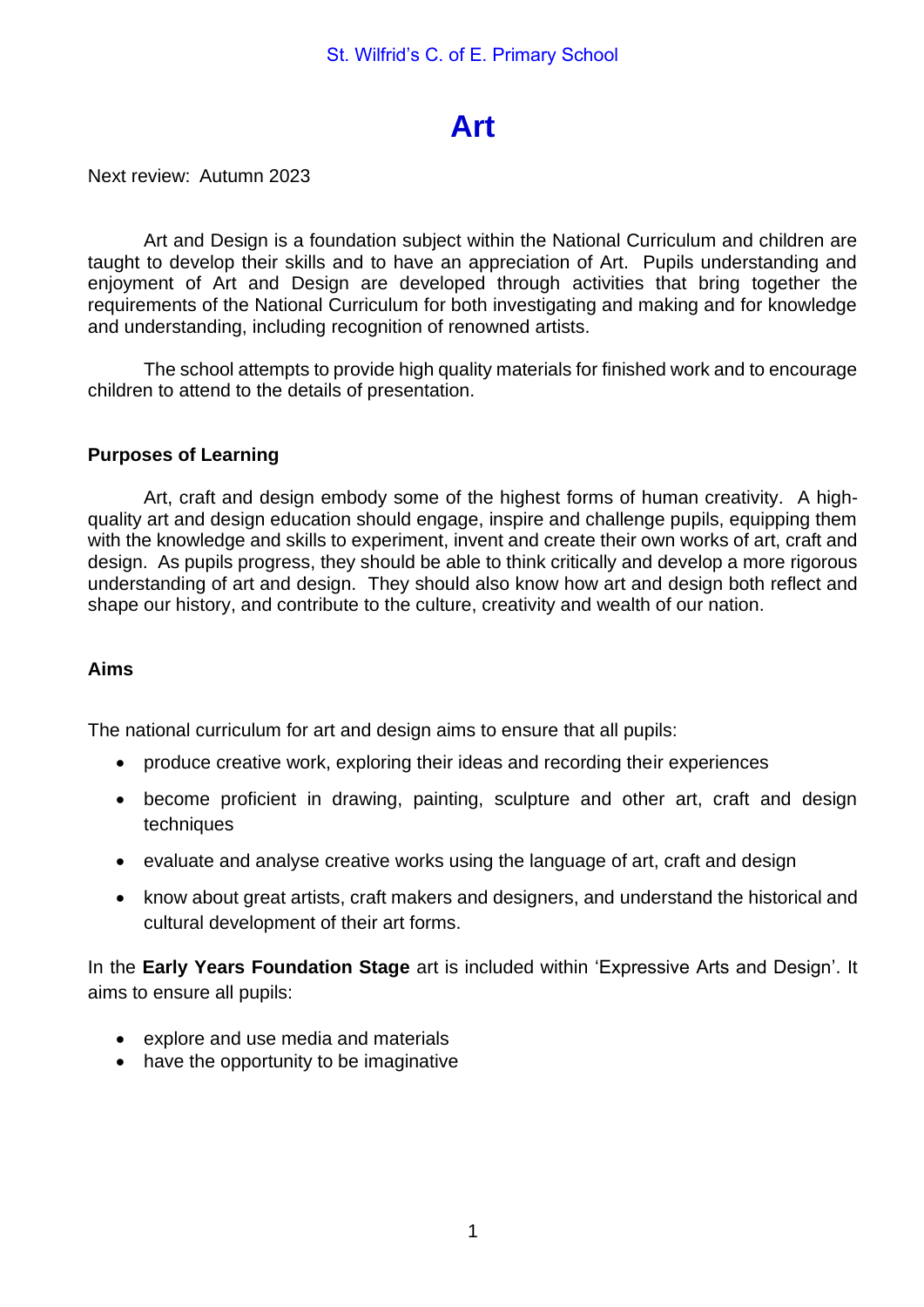# **Art**

Next review: Autumn 2023

Art and Design is a foundation subject within the National Curriculum and children are taught to develop their skills and to have an appreciation of Art. Pupils understanding and enjoyment of Art and Design are developed through activities that bring together the requirements of the National Curriculum for both investigating and making and for knowledge and understanding, including recognition of renowned artists.

The school attempts to provide high quality materials for finished work and to encourage children to attend to the details of presentation.

# **Purposes of Learning**

Art, craft and design embody some of the highest forms of human creativity. A highquality art and design education should engage, inspire and challenge pupils, equipping them with the knowledge and skills to experiment, invent and create their own works of art, craft and design. As pupils progress, they should be able to think critically and develop a more rigorous understanding of art and design. They should also know how art and design both reflect and shape our history, and contribute to the culture, creativity and wealth of our nation.

# **Aims**

The national curriculum for art and design aims to ensure that all pupils:

- produce creative work, exploring their ideas and recording their experiences
- become proficient in drawing, painting, sculpture and other art, craft and design techniques
- evaluate and analyse creative works using the language of art, craft and design
- know about great artists, craft makers and designers, and understand the historical and cultural development of their art forms.

In the **Early Years Foundation Stage** art is included within 'Expressive Arts and Design'. It aims to ensure all pupils:

- explore and use media and materials
- have the opportunity to be imaginative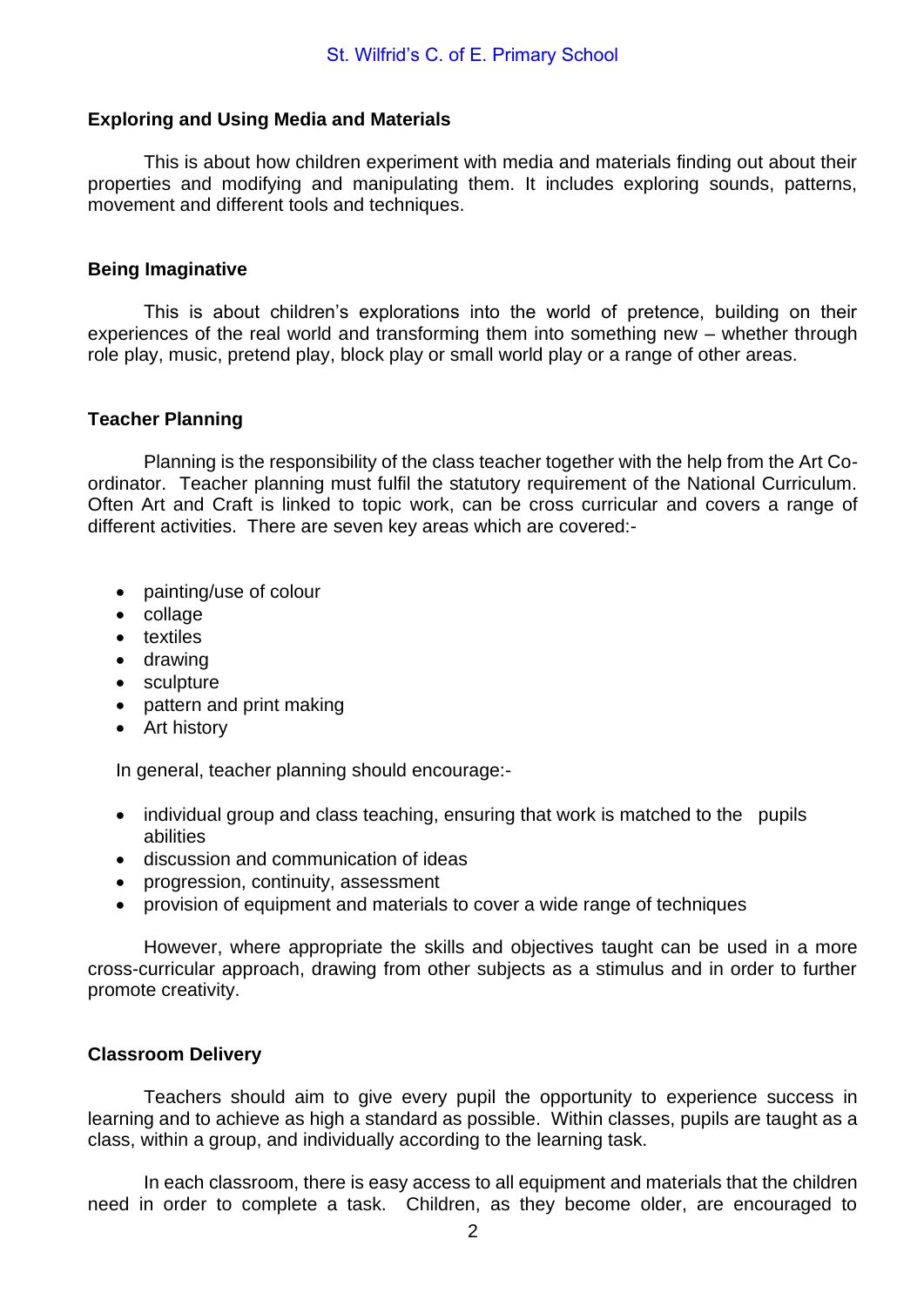### **Exploring and Using Media and Materials**

This is about how children experiment with media and materials finding out about their properties and modifying and manipulating them. It includes exploring sounds, patterns, movement and different tools and techniques.

#### **Being Imaginative**

This is about children's explorations into the world of pretence, building on their experiences of the real world and transforming them into something new – whether through role play, music, pretend play, block play or small world play or a range of other areas.

#### **Teacher Planning**

Planning is the responsibility of the class teacher together with the help from the Art Coordinator. Teacher planning must fulfil the statutory requirement of the National Curriculum. Often Art and Craft is linked to topic work, can be cross curricular and covers a range of different activities. There are seven key areas which are covered:-

- painting/use of colour
- collage
- textiles
- drawing
- sculpture
- pattern and print making
- Art history

In general, teacher planning should encourage:-

- individual group and class teaching, ensuring that work is matched to the pupils abilities
- discussion and communication of ideas
- progression, continuity, assessment
- provision of equipment and materials to cover a wide range of techniques

However, where appropriate the skills and objectives taught can be used in a more cross-curricular approach, drawing from other subjects as a stimulus and in order to further promote creativity.

#### **Classroom Delivery**

Teachers should aim to give every pupil the opportunity to experience success in learning and to achieve as high a standard as possible. Within classes, pupils are taught as a class, within a group, and individually according to the learning task.

In each classroom, there is easy access to all equipment and materials that the children need in order to complete a task. Children, as they become older, are encouraged to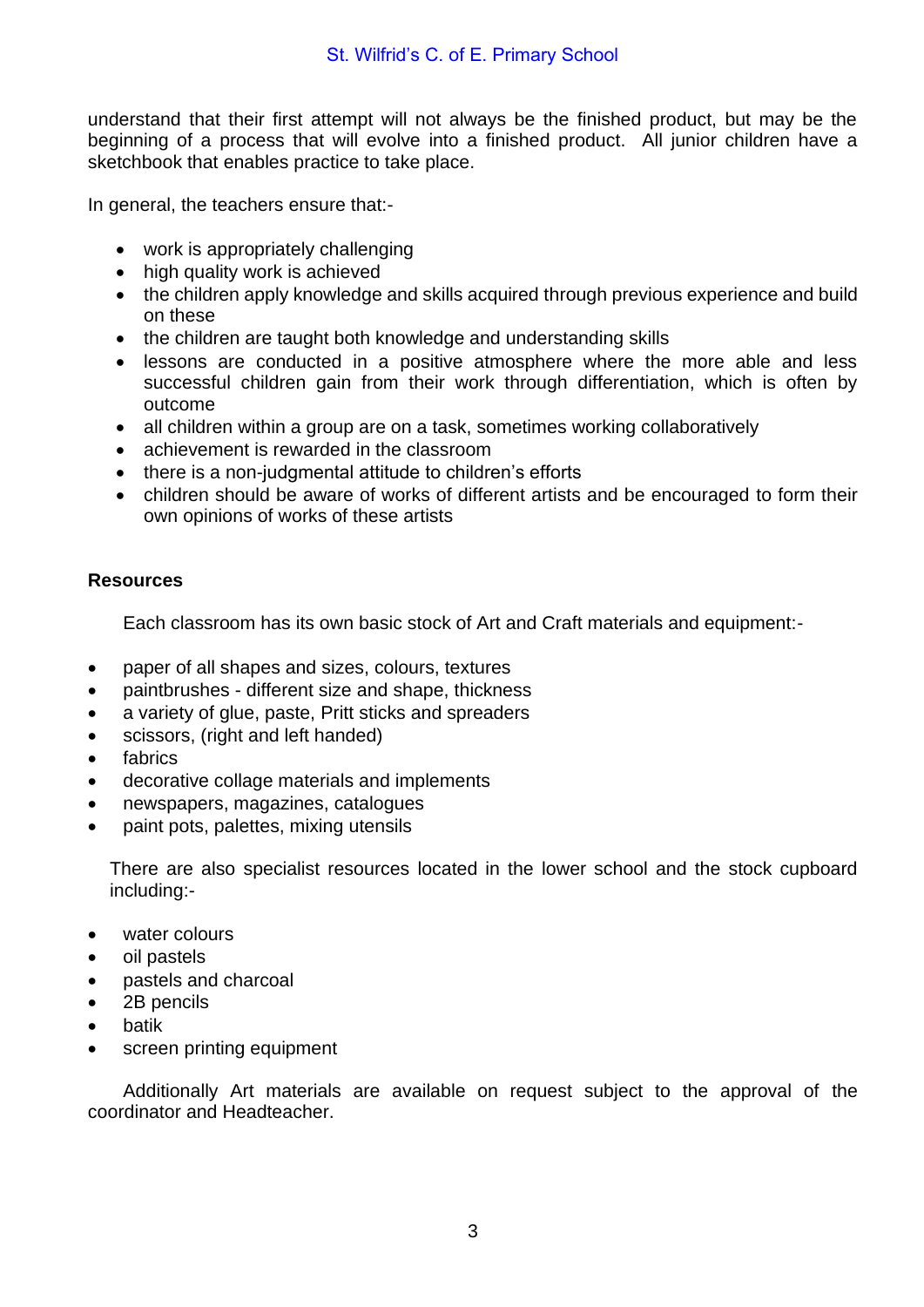understand that their first attempt will not always be the finished product, but may be the beginning of a process that will evolve into a finished product. All junior children have a sketchbook that enables practice to take place.

In general, the teachers ensure that:-

- work is appropriately challenging
- high quality work is achieved
- the children apply knowledge and skills acquired through previous experience and build on these
- the children are taught both knowledge and understanding skills
- lessons are conducted in a positive atmosphere where the more able and less successful children gain from their work through differentiation, which is often by outcome
- all children within a group are on a task, sometimes working collaboratively
- achievement is rewarded in the classroom
- there is a non-judgmental attitude to children's efforts
- children should be aware of works of different artists and be encouraged to form their own opinions of works of these artists

# **Resources**

Each classroom has its own basic stock of Art and Craft materials and equipment:-

- paper of all shapes and sizes, colours, textures
- paintbrushes different size and shape, thickness
- a variety of glue, paste, Pritt sticks and spreaders
- scissors, (right and left handed)
- **fabrics**
- decorative collage materials and implements
- newspapers, magazines, catalogues
- paint pots, palettes, mixing utensils

There are also specialist resources located in the lower school and the stock cupboard including:-

- water colours
- oil pastels
- pastels and charcoal
- 2B pencils
- batik
- screen printing equipment

Additionally Art materials are available on request subject to the approval of the coordinator and Headteacher.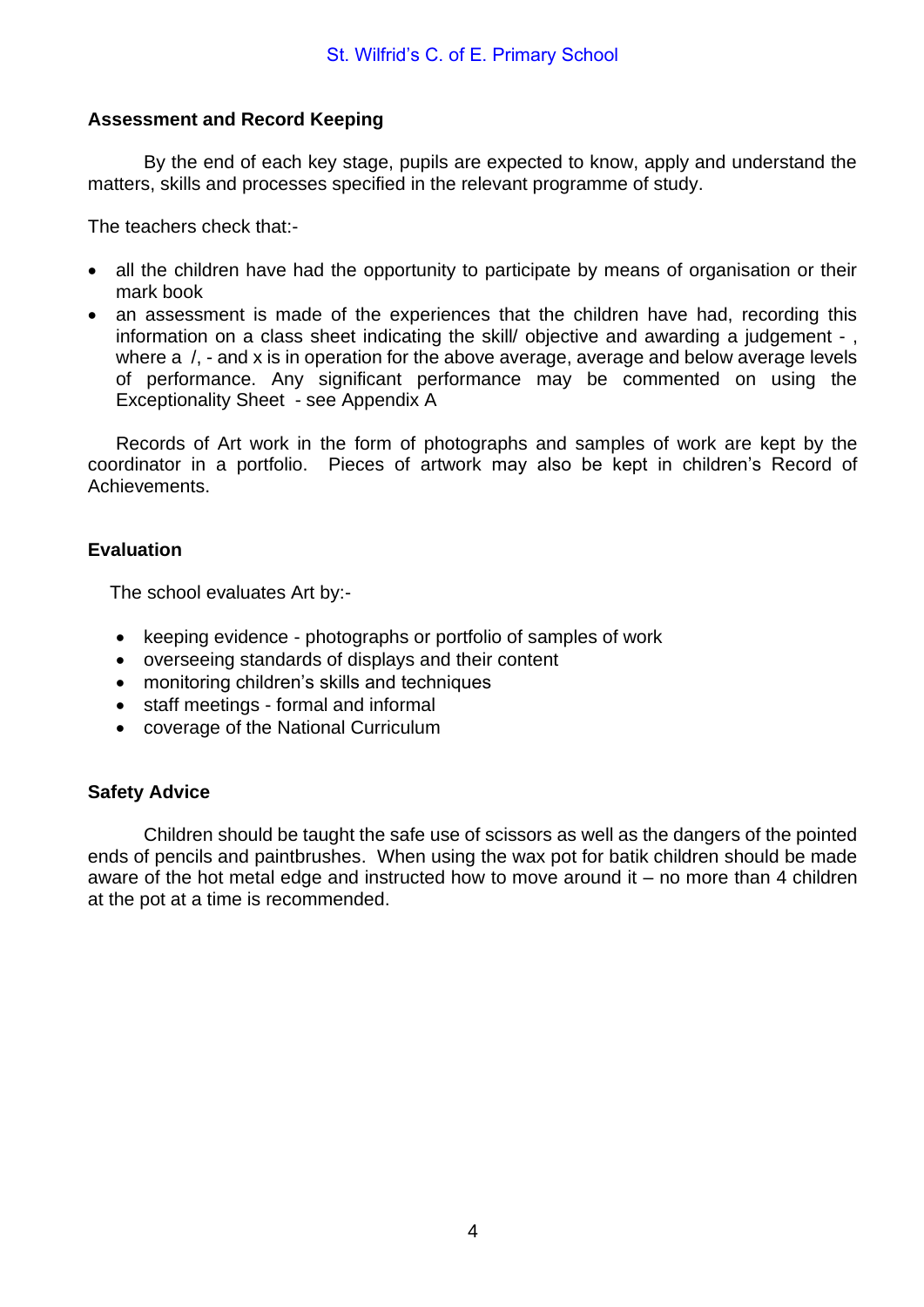# **Assessment and Record Keeping**

By the end of each key stage, pupils are expected to know, apply and understand the matters, skills and processes specified in the relevant programme of study.

The teachers check that:-

- all the children have had the opportunity to participate by means of organisation or their mark book
- an assessment is made of the experiences that the children have had, recording this information on a class sheet indicating the skill/ objective and awarding a judgement - , where a  $\ell$ , - and x is in operation for the above average, average and below average levels of performance. Any significant performance may be commented on using the Exceptionality Sheet - see Appendix A

Records of Art work in the form of photographs and samples of work are kept by the coordinator in a portfolio. Pieces of artwork may also be kept in children's Record of Achievements.

# **Evaluation**

The school evaluates Art by:-

- keeping evidence photographs or portfolio of samples of work
- overseeing standards of displays and their content
- monitoring children's skills and techniques
- staff meetings formal and informal
- coverage of the National Curriculum

# **Safety Advice**

Children should be taught the safe use of scissors as well as the dangers of the pointed ends of pencils and paintbrushes. When using the wax pot for batik children should be made aware of the hot metal edge and instructed how to move around it  $-$  no more than 4 children at the pot at a time is recommended.